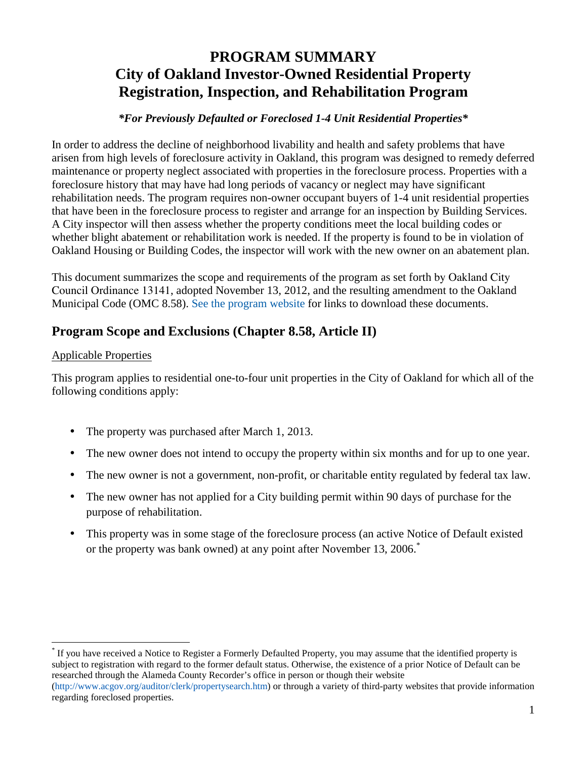# **PROGRAM SUMMARY City of Oakland Investor-Owned Residential Property Registration, Inspection, and Rehabilitation Program**

#### *\*For Previously Defaulted or Foreclosed 1-4 Unit Residential Properties\**

In order to address the decline of neighborhood livability and health and safety problems that have arisen from high levels of foreclosure activity in Oakland, this program was designed to remedy deferred maintenance or property neglect associated with properties in the foreclosure process. Properties with a foreclosure history that may have had long periods of vacancy or neglect may have significant rehabilitation needs. The program requires non-owner occupant buyers of 1-4 unit residential properties that have been in the foreclosure process to register and arrange for an inspection by Building Services. A City inspector will then assess whether the property conditions meet the local building codes or whether blight abatement or rehabilitation work is needed. If the property is found to be in violation of Oakland Housing or Building Codes, the inspector will work with the new owner on an abatement plan.

This document summarizes the scope and requirements of the program as set forth by Oakland City Council Ordinance 13141, adopted November 13, 2012, and the resulting amendment to the Oakland Municipal Code (OMC 8.58). [See the program website](https://www.oaklandca.gov/services/register-for-investor-owned-residential-property-inspection-and-rehabilitation-program) for links to download these documents.

## **Program Scope and Exclusions (Chapter 8.58, Article II)**

#### Applicable Properties

This program applies to residential one-to-four unit properties in the City of Oakland for which all of the following conditions apply:

- The property was purchased after March 1, 2013.
- The new owner does not intend to occupy the property within six months and for up to one year.
- The new owner is not a government, non-profit, or charitable entity regulated by federal tax law.
- The new owner has not applied for a City building permit within 90 days of purchase for the purpose of rehabilitation.
- This property was in some stage of the foreclosure process (an active Notice of Default existed or the property was bank owned) at any point after November 13, 2006.<sup>\*</sup>

\* If you have received a Notice to Register a Formerly Defaulted Property, you may assume that the identified property is subject to registration with regard to the former default status. Otherwise, the existence of a prior Notice of Default can be researched through the Alameda County Recorder's office in person or though their website (http://www.acgov.org/auditor/clerk/propertysearch.htm) or through a variety of third-party websites that provide information

regarding foreclosed properties.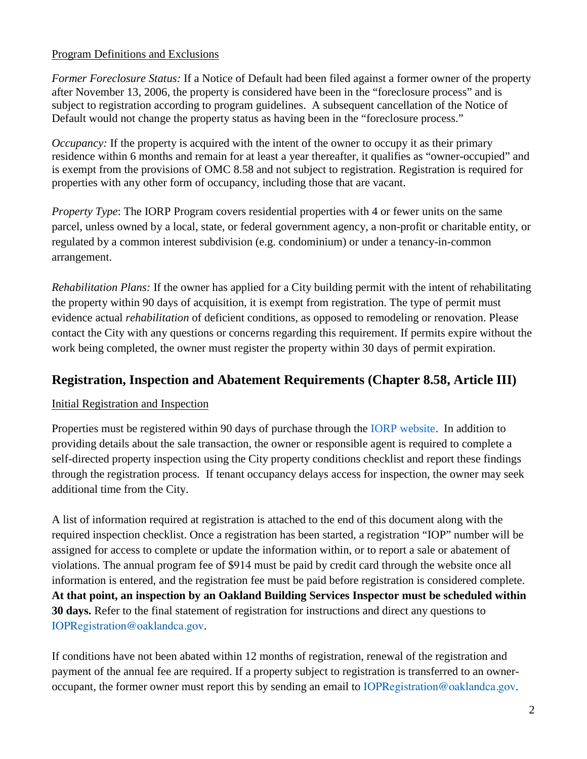#### Program Definitions and Exclusions

*Former Foreclosure Status:* If a Notice of Default had been filed against a former owner of the property after November 13, 2006, the property is considered have been in the "foreclosure process" and is subject to registration according to program guidelines. A subsequent cancellation of the Notice of Default would not change the property status as having been in the "foreclosure process."

*Occupancy:* If the property is acquired with the intent of the owner to occupy it as their primary residence within 6 months and remain for at least a year thereafter, it qualifies as "owner-occupied" and is exempt from the provisions of OMC 8.58 and not subject to registration. Registration is required for properties with any other form of occupancy, including those that are vacant.

*Property Type*: The IORP Program covers residential properties with 4 or fewer units on the same parcel, unless owned by a local, state, or federal government agency, a non-profit or charitable entity, or regulated by a common interest subdivision (e.g. condominium) or under a tenancy-in-common arrangement.

*Rehabilitation Plans:* If the owner has applied for a City building permit with the intent of rehabilitating the property within 90 days of acquisition, it is exempt from registration. The type of permit must evidence actual *rehabilitation* of deficient conditions, as opposed to remodeling or renovation. Please contact the City with any questions or concerns regarding this requirement. If permits expire without the work being completed, the owner must register the property within 30 days of permit expiration.

### **Registration, Inspection and Abatement Requirements (Chapter 8.58, Article III)**

#### Initial Registration and Inspection

Properties must be registered within 90 days of purchase through the [IORP website](https://www.oaklandca.gov/services/register-for-investor-owned-residential-property-inspection-and-rehabilitation-program). In addition to providing details about the sale transaction, the owner or responsible agent is required to complete a self-directed property inspection using the City property conditions checklist and report these findings through the registration process. If tenant occupancy delays access for inspection, the owner may seek additional time from the City.

A list of information required at registration is attached to the end of this document along with the required inspection checklist. Once a registration has been started, a registration "IOP" number will be assigned for access to complete or update the information within, or to report a sale or abatement of violations. The annual program fee of \$914 must be paid by credit card through the website once all information is entered, and the registration fee must be paid before registration is considered complete. **At that point, an inspection by an Oakland Building Services Inspector must be scheduled within 30 days.** Refer to the final statement of registration for instructions and direct any questions to IOPRegistration@oaklandca.gov.

If conditions have not been abated within 12 months of registration, renewal of the registration and payment of the annual fee are required. If a property subject to registration is transferred to an owneroccupant, the former owner must report this by sending an email to IOPRegistration@oaklandca.gov.